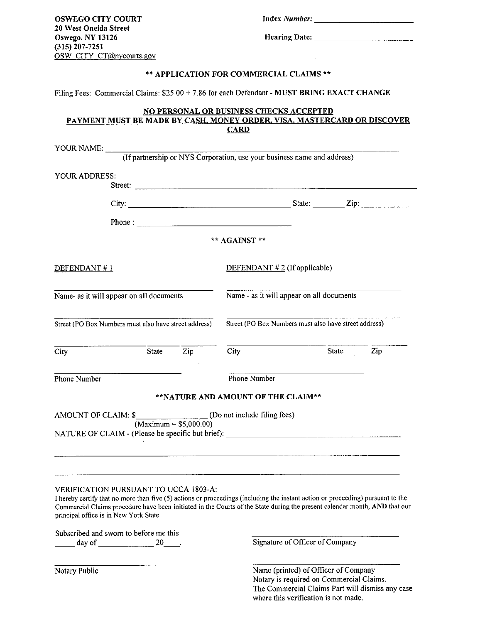OSWEGO CITY COURT 20 West Oneida Street Oswego, NY 13126 (315) 207-7251 OSW CITY CT@nycourts.gov Index *Number:* 

Hearing Date:

## \*\* APPLICATION FOR COMMERCIAL CLAIMS \*\*

Filing Fees: Commercial Claims: \$25.00 + 7.86 for each Defendant - MUST BRING EXACT CHANGE

## NO PERSONAL OR BUSINESS CHECKS ACCEPTED PAYMENT MUST BE MADE BY CASH, MONEY ORDER, VISA, MASTERCARD OR DISCOVER **CARD**

| YOUR ADDRESS:                                         | Street:                                                                                                                                                                         |                         |                                                       |  |       |     |
|-------------------------------------------------------|---------------------------------------------------------------------------------------------------------------------------------------------------------------------------------|-------------------------|-------------------------------------------------------|--|-------|-----|
|                                                       |                                                                                                                                                                                 |                         |                                                       |  |       |     |
|                                                       | Phone: $\frac{1}{2}$                                                                                                                                                            |                         |                                                       |  |       |     |
|                                                       |                                                                                                                                                                                 |                         | ** AGAINST **                                         |  |       |     |
| DEFENDANT#1                                           |                                                                                                                                                                                 |                         | DEFENDANT $#2$ (If applicable)                        |  |       |     |
| Name- as it will appear on all documents              |                                                                                                                                                                                 |                         | Name - as it will appear on all documents             |  |       |     |
| Street (PO Box Numbers must also have street address) |                                                                                                                                                                                 |                         | Street (PO Box Numbers must also have street address) |  |       |     |
| City                                                  |                                                                                                                                                                                 | State Zip               | City                                                  |  | State | Zip |
| Phone Number                                          |                                                                                                                                                                                 |                         | Phone Number                                          |  |       |     |
|                                                       |                                                                                                                                                                                 |                         | **NATURE AND AMOUNT OF THE CLAIM**                    |  |       |     |
|                                                       |                                                                                                                                                                                 | $(Maximum = $5,000.00)$ |                                                       |  |       |     |
|                                                       | NATURE OF CLAIM - (Please be specific but brief):                                                                                                                               |                         |                                                       |  |       |     |
|                                                       |                                                                                                                                                                                 |                         |                                                       |  |       |     |
|                                                       | <b>VERIFICATION PURSUANT TO UCCA 1803-A:</b><br>I hereby certify that no more than five (5) actions or proceedings (including the instant action or proceeding) pursuant to the |                         |                                                       |  |       |     |

Commercial Claims procedure have been initiated in the Courts of the State during the present calendar month, AND that our principal office is in New York State.

Subscribed and sworn to before me this

day of 20 20 . Signature of Officer of Company

Notary Public

Name (printed) of Officer of Company Notary is required on Commercial Claims. The Commercial Claims Part will dismiss any case where this verification is not made.